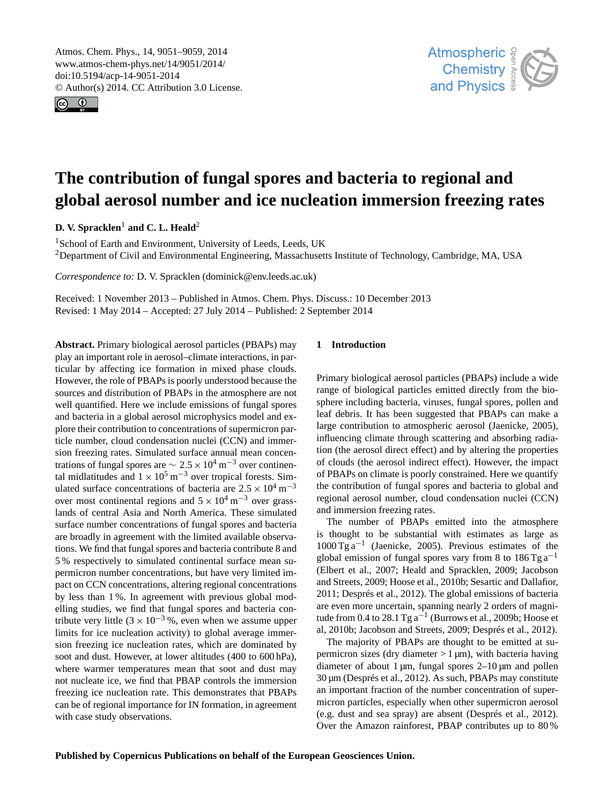<span id="page-0-0"></span>Atmos. Chem. Phys., 14, 9051–9059, 2014 www.atmos-chem-phys.net/14/9051/2014/ doi:10.5194/acp-14-9051-2014 © Author(s) 2014. CC Attribution 3.0 License.





# **The contribution of fungal spores and bacteria to regional and global aerosol number and ice nucleation immersion freezing rates**

**D. V. Spracklen<sup>1</sup> and C. L. Heald<sup>2</sup>** 

<sup>1</sup>School of Earth and Environment, University of Leeds, Leeds, UK <sup>2</sup>Department of Civil and Environmental Engineering, Massachusetts Institute of Technology, Cambridge, MA, USA

*Correspondence to:* D. V. Spracklen (dominick@env.leeds.ac.uk)

Received: 1 November 2013 – Published in Atmos. Chem. Phys. Discuss.: 10 December 2013 Revised: 1 May 2014 – Accepted: 27 July 2014 – Published: 2 September 2014

**Abstract.** Primary biological aerosol particles (PBAPs) may play an important role in aerosol–climate interactions, in particular by affecting ice formation in mixed phase clouds. However, the role of PBAPs is poorly understood because the sources and distribution of PBAPs in the atmosphere are not well quantified. Here we include emissions of fungal spores and bacteria in a global aerosol microphysics model and explore their contribution to concentrations of supermicron particle number, cloud condensation nuclei (CCN) and immersion freezing rates. Simulated surface annual mean concentrations of fungal spores are  $\sim 2.5 \times 10^4$  m<sup>-3</sup> over continental midlatitudes and  $1 \times 10^5$  m<sup>-3</sup> over tropical forests. Simulated surface concentrations of bacteria are  $2.5 \times 10^4$  m<sup>-3</sup> over most continental regions and  $5 \times 10^4$  m<sup>-3</sup> over grasslands of central Asia and North America. These simulated surface number concentrations of fungal spores and bacteria are broadly in agreement with the limited available observations. We find that fungal spores and bacteria contribute 8 and 5 % respectively to simulated continental surface mean supermicron number concentrations, but have very limited impact on CCN concentrations, altering regional concentrations by less than 1 %. In agreement with previous global modelling studies, we find that fungal spores and bacteria contribute very little  $(3 \times 10^{-3})$ %, even when we assume upper limits for ice nucleation activity) to global average immersion freezing ice nucleation rates, which are dominated by soot and dust. However, at lower altitudes (400 to 600 hPa), where warmer temperatures mean that soot and dust may not nucleate ice, we find that PBAP controls the immersion freezing ice nucleation rate. This demonstrates that PBAPs can be of regional importance for IN formation, in agreement with case study observations.

## **1 Introduction**

Primary biological aerosol particles (PBAPs) include a wide range of biological particles emitted directly from the biosphere including bacteria, viruses, fungal spores, pollen and leaf debris. It has been suggested that PBAPs can make a large contribution to atmospheric aerosol (Jaenicke, 2005), influencing climate through scattering and absorbing radiation (the aerosol direct effect) and by altering the properties of clouds (the aerosol indirect effect). However, the impact of PBAPs on climate is poorly constrained. Here we quantify the contribution of fungal spores and bacteria to global and regional aerosol number, cloud condensation nuclei (CCN) and immersion freezing rates.

The number of PBAPs emitted into the atmosphere is thought to be substantial with estimates as large as 1000 Tg a−<sup>1</sup> (Jaenicke, 2005). Previous estimates of the global emission of fungal spores vary from 8 to  $186$  Tg a<sup>-1</sup> (Elbert et al., 2007; Heald and Spracklen, 2009; Jacobson and Streets, 2009; Hoose et al., 2010b; Sesartic and Dallafior, 2011; Després et al., 2012). The global emissions of bacteria are even more uncertain, spanning nearly 2 orders of magnitude from 0.4 to  $28.1$  Tg  $a^{-1}$  (Burrows et al., 2009b; Hoose et al, 2010b; Jacobson and Streets, 2009; Després et al., 2012).

The majority of PBAPs are thought to be emitted at supermicron sizes (dry diameter  $> 1 \,\mu m$ ), with bacteria having diameter of about 1  $\mu$ m, fungal spores 2–10  $\mu$ m and pollen 30 µm (Després et al., 2012). As such, PBAPs may constitute an important fraction of the number concentration of supermicron particles, especially when other supermicron aerosol (e.g. dust and sea spray) are absent (Després et al., 2012). Over the Amazon rainforest, PBAP contributes up to 80 %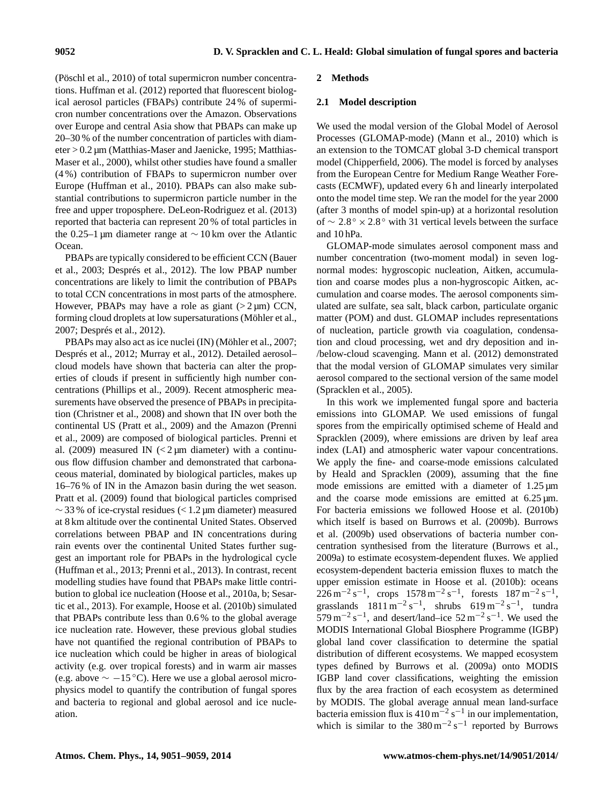(Pöschl et al., 2010) of total supermicron number concentrations. Huffman et al. (2012) reported that fluorescent biological aerosol particles (FBAPs) contribute 24 % of supermicron number concentrations over the Amazon. Observations over Europe and central Asia show that PBAPs can make up 20–30 % of the number concentration of particles with diameter > 0.2 µm (Matthias-Maser and Jaenicke, 1995; Matthias-Maser et al., 2000), whilst other studies have found a smaller (4 %) contribution of FBAPs to supermicron number over Europe (Huffman et al., 2010). PBAPs can also make substantial contributions to supermicron particle number in the free and upper troposphere. DeLeon-Rodriguez et al. (2013) reported that bacteria can represent 20 % of total particles in the 0.25–1 µm diameter range at ∼ 10 km over the Atlantic Ocean.

PBAPs are typically considered to be efficient CCN (Bauer et al., 2003; Després et al., 2012). The low PBAP number concentrations are likely to limit the contribution of PBAPs to total CCN concentrations in most parts of the atmosphere. However, PBAPs may have a role as giant  $(2 \mu m)$  CCN, forming cloud droplets at low supersaturations (Möhler et al., 2007; Després et al., 2012).

PBAPs may also act as ice nuclei (IN) (Möhler et al., 2007; Després et al., 2012; Murray et al., 2012). Detailed aerosol– cloud models have shown that bacteria can alter the properties of clouds if present in sufficiently high number concentrations (Phillips et al., 2009). Recent atmospheric measurements have observed the presence of PBAPs in precipitation (Christner et al., 2008) and shown that IN over both the continental US (Pratt et al., 2009) and the Amazon (Prenni et al., 2009) are composed of biological particles. Prenni et al. (2009) measured IN  $\left($  < 2  $\mu$ m diameter) with a continuous flow diffusion chamber and demonstrated that carbonaceous material, dominated by biological particles, makes up 16–76 % of IN in the Amazon basin during the wet season. Pratt et al. (2009) found that biological particles comprised  $\sim$  33 % of ice-crystal residues (< 1.2 µm diameter) measured at 8 km altitude over the continental United States. Observed correlations between PBAP and IN concentrations during rain events over the continental United States further suggest an important role for PBAPs in the hydrological cycle (Huffman et al., 2013; Prenni et al., 2013). In contrast, recent modelling studies have found that PBAPs make little contribution to global ice nucleation (Hoose et al., 2010a, b; Sesartic et al., 2013). For example, Hoose et al. (2010b) simulated that PBAPs contribute less than 0.6 % to the global average ice nucleation rate. However, these previous global studies have not quantified the regional contribution of PBAPs to ice nucleation which could be higher in areas of biological activity (e.g. over tropical forests) and in warm air masses (e.g. above  $\sim -15$  °C). Here we use a global aerosol microphysics model to quantify the contribution of fungal spores and bacteria to regional and global aerosol and ice nucleation.

## **2 Methods**

## **2.1 Model description**

We used the modal version of the Global Model of Aerosol Processes (GLOMAP-mode) (Mann et al., 2010) which is an extension to the TOMCAT global 3-D chemical transport model (Chipperfield, 2006). The model is forced by analyses from the European Centre for Medium Range Weather Forecasts (ECMWF), updated every 6 h and linearly interpolated onto the model time step. We ran the model for the year 2000 (after 3 months of model spin-up) at a horizontal resolution of ∼ 2.8 ◦ × 2.8 ◦ with 31 vertical levels between the surface and 10 hPa.

GLOMAP-mode simulates aerosol component mass and number concentration (two-moment modal) in seven lognormal modes: hygroscopic nucleation, Aitken, accumulation and coarse modes plus a non-hygroscopic Aitken, accumulation and coarse modes. The aerosol components simulated are sulfate, sea salt, black carbon, particulate organic matter (POM) and dust. GLOMAP includes representations of nucleation, particle growth via coagulation, condensation and cloud processing, wet and dry deposition and in- /below-cloud scavenging. Mann et al. (2012) demonstrated that the modal version of GLOMAP simulates very similar aerosol compared to the sectional version of the same model (Spracklen et al., 2005).

In this work we implemented fungal spore and bacteria emissions into GLOMAP. We used emissions of fungal spores from the empirically optimised scheme of Heald and Spracklen (2009), where emissions are driven by leaf area index (LAI) and atmospheric water vapour concentrations. We apply the fine- and coarse-mode emissions calculated by Heald and Spracklen (2009), assuming that the fine mode emissions are emitted with a diameter of 1.25  $\mu$ m and the coarse mode emissions are emitted at  $6.25 \,\text{\mu m}$ . For bacteria emissions we followed Hoose et al. (2010b) which itself is based on Burrows et al. (2009b). Burrows et al. (2009b) used observations of bacteria number concentration synthesised from the literature (Burrows et al., 2009a) to estimate ecosystem-dependent fluxes. We applied ecosystem-dependent bacteria emission fluxes to match the upper emission estimate in Hoose et al. (2010b): oceans  $226 \text{ m}^{-2} \text{ s}^{-1}$ , crops  $1578 \text{ m}^{-2} \text{ s}^{-1}$ , forests  $187 \text{ m}^{-2} \text{ s}^{-1}$ , grasslands  $1811 \text{ m}^{-2} \text{ s}^{-1}$ , shrubs  $619 \text{ m}^{-2} \text{ s}^{-1}$ , tundra  $579 \text{ m}^{-2} \text{ s}^{-1}$ , and desert/land–ice  $52 \text{ m}^{-2} \text{ s}^{-1}$ . We used the MODIS International Global Biosphere Programme (IGBP) global land cover classification to determine the spatial distribution of different ecosystems. We mapped ecosystem types defined by Burrows et al. (2009a) onto MODIS IGBP land cover classifications, weighting the emission flux by the area fraction of each ecosystem as determined by MODIS. The global average annual mean land-surface bacteria emission flux is  $410 \text{ m}^{-2} \text{ s}^{-1}$  in our implementation, which is similar to the  $380 \text{ m}^{-2} \text{ s}^{-1}$  reported by Burrows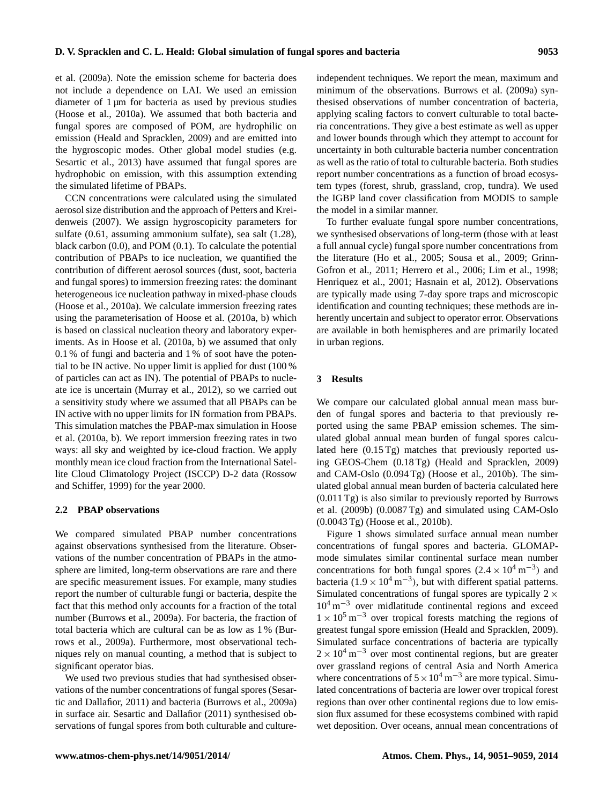et al. (2009a). Note the emission scheme for bacteria does not include a dependence on LAI. We used an emission diameter of 1 µm for bacteria as used by previous studies (Hoose et al., 2010a). We assumed that both bacteria and fungal spores are composed of POM, are hydrophilic on emission (Heald and Spracklen, 2009) and are emitted into the hygroscopic modes. Other global model studies (e.g. Sesartic et al., 2013) have assumed that fungal spores are hydrophobic on emission, with this assumption extending the simulated lifetime of PBAPs.

CCN concentrations were calculated using the simulated aerosol size distribution and the approach of Petters and Kreidenweis (2007). We assign hygroscopicity parameters for sulfate (0.61, assuming ammonium sulfate), sea salt (1.28), black carbon (0.0), and POM (0.1). To calculate the potential contribution of PBAPs to ice nucleation, we quantified the contribution of different aerosol sources (dust, soot, bacteria and fungal spores) to immersion freezing rates: the dominant heterogeneous ice nucleation pathway in mixed-phase clouds (Hoose et al., 2010a). We calculate immersion freezing rates using the parameterisation of Hoose et al. (2010a, b) which is based on classical nucleation theory and laboratory experiments. As in Hoose et al. (2010a, b) we assumed that only 0.1 % of fungi and bacteria and 1 % of soot have the potential to be IN active. No upper limit is applied for dust (100 % of particles can act as IN). The potential of PBAPs to nucleate ice is uncertain (Murray et al., 2012), so we carried out a sensitivity study where we assumed that all PBAPs can be IN active with no upper limits for IN formation from PBAPs. This simulation matches the PBAP-max simulation in Hoose et al. (2010a, b). We report immersion freezing rates in two ways: all sky and weighted by ice-cloud fraction. We apply monthly mean ice cloud fraction from the International Satellite Cloud Climatology Project (ISCCP) D-2 data (Rossow and Schiffer, 1999) for the year 2000.

#### **2.2 PBAP observations**

We compared simulated PBAP number concentrations against observations synthesised from the literature. Observations of the number concentration of PBAPs in the atmosphere are limited, long-term observations are rare and there are specific measurement issues. For example, many studies report the number of culturable fungi or bacteria, despite the fact that this method only accounts for a fraction of the total number (Burrows et al., 2009a). For bacteria, the fraction of total bacteria which are cultural can be as low as 1 % (Burrows et al., 2009a). Furthermore, most observational techniques rely on manual counting, a method that is subject to significant operator bias.

We used two previous studies that had synthesised observations of the number concentrations of fungal spores (Sesartic and Dallafior, 2011) and bacteria (Burrows et al., 2009a) in surface air. Sesartic and Dallafior (2011) synthesised observations of fungal spores from both culturable and cultureindependent techniques. We report the mean, maximum and minimum of the observations. Burrows et al. (2009a) synthesised observations of number concentration of bacteria, applying scaling factors to convert culturable to total bacteria concentrations. They give a best estimate as well as upper and lower bounds through which they attempt to account for uncertainty in both culturable bacteria number concentration as well as the ratio of total to culturable bacteria. Both studies report number concentrations as a function of broad ecosystem types (forest, shrub, grassland, crop, tundra). We used the IGBP land cover classification from MODIS to sample the model in a similar manner.

To further evaluate fungal spore number concentrations, we synthesised observations of long-term (those with at least a full annual cycle) fungal spore number concentrations from the literature (Ho et al., 2005; Sousa et al., 2009; Grinn-Gofron et al., 2011; Herrero et al., 2006; Lim et al., 1998; Henriquez et al., 2001; Hasnain et al, 2012). Observations are typically made using 7-day spore traps and microscopic identification and counting techniques; these methods are inherently uncertain and subject to operator error. Observations are available in both hemispheres and are primarily located in urban regions.

### **3 Results**

We compare our calculated global annual mean mass burden of fungal spores and bacteria to that previously reported using the same PBAP emission schemes. The simulated global annual mean burden of fungal spores calculated here (0.15 Tg) matches that previously reported using GEOS-Chem (0.18 Tg) (Heald and Spracklen, 2009) and CAM-Oslo (0.094 Tg) (Hoose et al., 2010b). The simulated global annual mean burden of bacteria calculated here (0.011 Tg) is also similar to previously reported by Burrows et al. (2009b) (0.0087 Tg) and simulated using CAM-Oslo (0.0043 Tg) (Hoose et al., 2010b).

Figure 1 shows simulated surface annual mean number concentrations of fungal spores and bacteria. GLOMAPmode simulates similar continental surface mean number concentrations for both fungal spores  $(2.4 \times 10^4 \text{ m}^{-3})$  and bacteria (1.9 ×  $10^4$  m<sup>-3</sup>), but with different spatial patterns. Simulated concentrations of fungal spores are typically  $2 \times$ 10<sup>4</sup> m−<sup>3</sup> over midlatitude continental regions and exceed  $1 \times 10^5$  m<sup>-3</sup> over tropical forests matching the regions of greatest fungal spore emission (Heald and Spracklen, 2009). Simulated surface concentrations of bacteria are typically  $2 \times 10^4$  m<sup>-3</sup> over most continental regions, but are greater over grassland regions of central Asia and North America where concentrations of  $5 \times 10^4$  m<sup>-3</sup> are more typical. Simulated concentrations of bacteria are lower over tropical forest regions than over other continental regions due to low emission flux assumed for these ecosystems combined with rapid wet deposition. Over oceans, annual mean concentrations of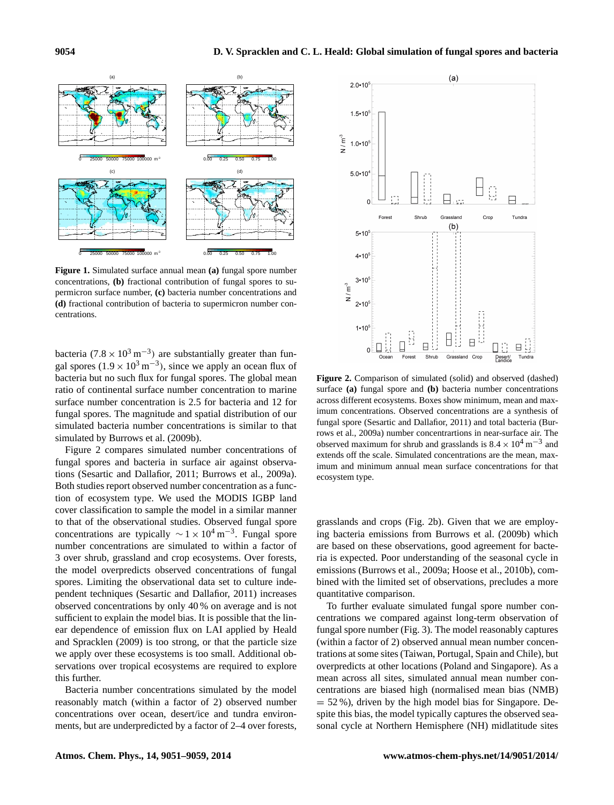

**Figure 1.** Simulated surface annual mean **(a)** fungal spore number concentrations, **(b)** fractional contribution of fungal spores to supermicron surface number, **(c)** bacteria number concentrations and **(d)** fractional contribution of bacteria to supermicron number concentrations.

bacteria (7.8 ×  $10^3 \text{ m}^{-3}$ ) are substantially greater than fungal spores  $(1.9 \times 10^3 \,\text{m}^{-3})$ , since we apply an ocean flux of bacteria but no such flux for fungal spores. The global mean ratio of continental surface number concentration to marine surface number concentration is 2.5 for bacteria and 12 for fungal spores. The magnitude and spatial distribution of our simulated bacteria number concentrations is similar to that simulated by Burrows et al. (2009b).

Figure 2 compares simulated number concentrations of fungal spores and bacteria in surface air against observations (Sesartic and Dallafior, 2011; Burrows et al., 2009a). Both studies report observed number concentration as a function of ecosystem type. We used the MODIS IGBP land cover classification to sample the model in a similar manner to that of the observational studies. Observed fungal spore concentrations are typically  $\sim$  1 × 10<sup>4</sup> m<sup>-3</sup>. Fungal spore number concentrations are simulated to within a factor of 3 over shrub, grassland and crop ecosystems. Over forests, the model overpredicts observed concentrations of fungal spores. Limiting the observational data set to culture independent techniques (Sesartic and Dallafior, 2011) increases observed concentrations by only 40 % on average and is not sufficient to explain the model bias. It is possible that the linear dependence of emission flux on LAI applied by Heald and Spracklen (2009) is too strong, or that the particle size we apply over these ecosystems is too small. Additional observations over tropical ecosystems are required to explore this further.

Bacteria number concentrations simulated by the model reasonably match (within a factor of 2) observed number concentrations over ocean, desert/ice and tundra environments, but are underpredicted by a factor of 2–4 over forests,



**Figure 2.** Comparison of simulated (solid) and observed (dashed) surface **(a)** fungal spore and **(b)** bacteria number concentrations across different ecosystems. Boxes show minimum, mean and maximum concentrations. Observed concentrations are a synthesis of fungal spore (Sesartic and Dallafior, 2011) and total bacteria (Burrows et al., 2009a) number concentrartions in near-surface air. The observed maximum for shrub and grasslands is  $8.4 \times 10^4$  m<sup>-3</sup> and extends off the scale. Simulated concentrations are the mean, maximum and minimum annual mean surface concentrations for that ecosystem type.

grasslands and crops (Fig. 2b). Given that we are employing bacteria emissions from Burrows et al. (2009b) which are based on these observations, good agreement for bacteria is expected. Poor understanding of the seasonal cycle in emissions (Burrows et al., 2009a; Hoose et al., 2010b), combined with the limited set of observations, precludes a more quantitative comparison.

To further evaluate simulated fungal spore number concentrations we compared against long-term observation of fungal spore number (Fig. 3). The model reasonably captures (within a factor of 2) observed annual mean number concentrations at some sites (Taiwan, Portugal, Spain and Chile), but overpredicts at other locations (Poland and Singapore). As a mean across all sites, simulated annual mean number concentrations are biased high (normalised mean bias (NMB)  $= 52 %$ ), driven by the high model bias for Singapore. Despite this bias, the model typically captures the observed seasonal cycle at Northern Hemisphere (NH) midlatitude sites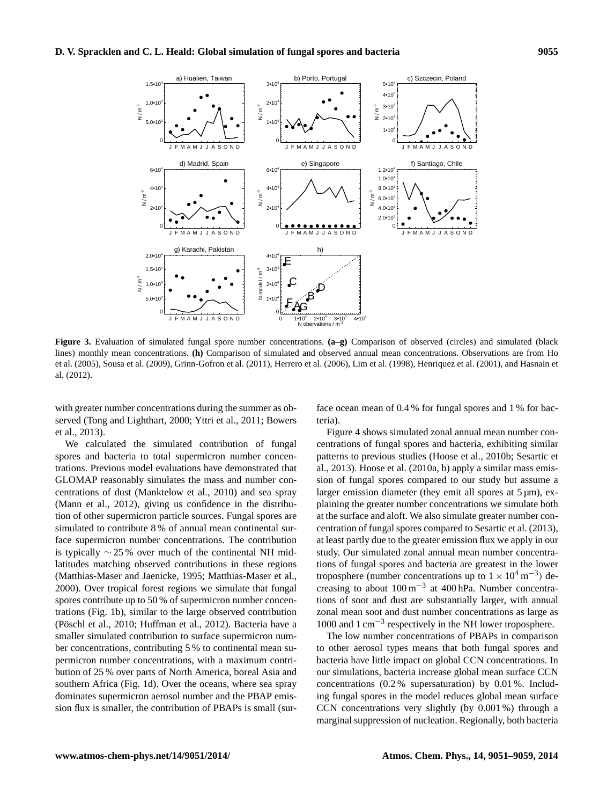

**Figure 3.** Evaluation of simulated fungal spore number concentrations. **(a–g)** Comparison of observed (circles) and simulated (black lines) monthly mean concentrations. **(h)** Comparison of simulated and observed annual mean concentrations. Observations are from Ho et al. (2005), Sousa et al. (2009), Grinn-Gofron et al. (2011), Herrero et al. (2006), Lim et al. (1998), Henriquez et al. (2001), and Hasnain et al. (2012).

with greater number concentrations during the summer as observed (Tong and Lighthart, 2000; Yttri et al., 2011; Bowers et al., 2013).

We calculated the simulated contribution of fungal spores and bacteria to total supermicron number concentrations. Previous model evaluations have demonstrated that GLOMAP reasonably simulates the mass and number concentrations of dust (Manktelow et al., 2010) and sea spray (Mann et al., 2012), giving us confidence in the distribution of other supermicron particle sources. Fungal spores are simulated to contribute 8 % of annual mean continental surface supermicron number concentrations. The contribution is typically  $\sim$  25 % over much of the continental NH midlatitudes matching observed contributions in these regions (Matthias-Maser and Jaenicke, 1995; Matthias-Maser et al., 2000). Over tropical forest regions we simulate that fungal spores contribute up to 50 % of supermicron number concentrations (Fig. 1b), similar to the large observed contribution (Pöschl et al., 2010; Huffman et al., 2012). Bacteria have a smaller simulated contribution to surface supermicron number concentrations, contributing 5 % to continental mean supermicron number concentrations, with a maximum contribution of 25 % over parts of North America, boreal Asia and southern Africa (Fig. 1d). Over the oceans, where sea spray dominates supermicron aerosol number and the PBAP emission flux is smaller, the contribution of PBAPs is small (sur-

face ocean mean of 0.4 % for fungal spores and 1 % for bacteria).

Figure 4 shows simulated zonal annual mean number concentrations of fungal spores and bacteria, exhibiting similar patterns to previous studies (Hoose et al., 2010b; Sesartic et al., 2013). Hoose et al. (2010a, b) apply a similar mass emission of fungal spores compared to our study but assume a larger emission diameter (they emit all spores at  $5 \mu m$ ), explaining the greater number concentrations we simulate both at the surface and aloft. We also simulate greater number concentration of fungal spores compared to Sesartic et al. (2013), at least partly due to the greater emission flux we apply in our study. Our simulated zonal annual mean number concentrations of fungal spores and bacteria are greatest in the lower troposphere (number concentrations up to  $1 \times 10^4$  m<sup>-3</sup>) decreasing to about 100 m−<sup>3</sup> at 400 hPa. Number concentrations of soot and dust are substantially larger, with annual zonal mean soot and dust number concentrations as large as 1000 and 1 cm−<sup>3</sup> respectively in the NH lower troposphere.

The low number concentrations of PBAPs in comparison to other aerosol types means that both fungal spores and bacteria have little impact on global CCN concentrations. In our simulations, bacteria increase global mean surface CCN concentrations (0.2 % supersaturation) by 0.01 %. Including fungal spores in the model reduces global mean surface CCN concentrations very slightly (by 0.001 %) through a marginal suppression of nucleation. Regionally, both bacteria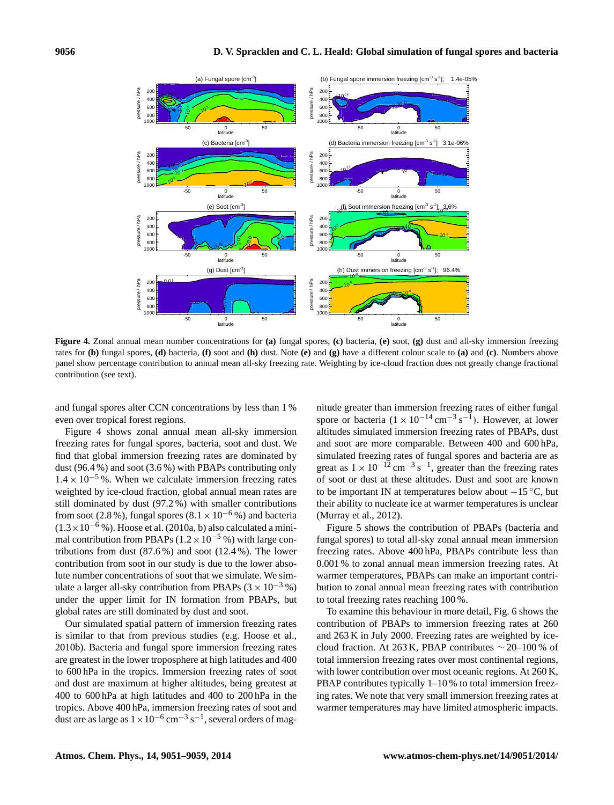

**Figure 4.** Zonal annual mean number concentrations for **(a)** fungal spores, **(c)** bacteria, **(e)** soot, **(g)** dust and all-sky immersion freezing rates for **(b)** fungal spores, **(d)** bacteria, **(f)** soot and **(h)** dust. Note **(e)** and **(g)** have a different colour scale to **(a)** and **(c)**. Numbers above panel show percentage contribution to annual mean all-sky freezing rate. Weighting by ice-cloud fraction does not greatly change fractional contribution (see text).

and fungal spores alter CCN concentrations by less than 1 % even over tropical forest regions.

Figure 4 shows zonal annual mean all-sky immersion freezing rates for fungal spores, bacteria, soot and dust. We find that global immersion freezing rates are dominated by dust (96.4 %) and soot (3.6 %) with PBAPs contributing only  $1.4 \times 10^{-5}$ %. When we calculate immersion freezing rates weighted by ice-cloud fraction, global annual mean rates are still dominated by dust (97.2 %) with smaller contributions from soot (2.8 %), fungal spores (8.1  $\times$  10<sup>-6</sup> %) and bacteria  $(1.3\times10^{-6}$  %). Hoose et al. (2010a, b) also calculated a minimal contribution from PBAPs ( $1.2 \times 10^{-5}$  %) with large contributions from dust  $(87.6\%)$  and soot  $(12.4\%)$ . The lower contribution from soot in our study is due to the lower absolute number concentrations of soot that we simulate. We simulate a larger all-sky contribution from PBAPs  $(3 \times 10^{-3} \%)$ under the upper limit for IN formation from PBAPs, but global rates are still dominated by dust and soot.

Our simulated spatial pattern of immersion freezing rates is similar to that from previous studies (e.g. Hoose et al., 2010b). Bacteria and fungal spore immersion freezing rates are greatest in the lower troposphere at high latitudes and 400 to 600 hPa in the tropics. Immersion freezing rates of soot and dust are maximum at higher altitudes, being greatest at 400 to 600 hPa at high latitudes and 400 to 200 hPa in the tropics. Above 400 hPa, immersion freezing rates of soot and dust are as large as  $1 \times 10^{-6}$  cm<sup>-3</sup> s<sup>-1</sup>, several orders of magnitude greater than immersion freezing rates of either fungal spore or bacteria  $(1 \times 10^{-14} \text{ cm}^{-3} \text{ s}^{-1})$ . However, at lower altitudes simulated immersion freezing rates of PBAPs, dust and soot are more comparable. Between 400 and 600 hPa, simulated freezing rates of fungal spores and bacteria are as great as  $1 \times 10^{-12}$  cm<sup>-3</sup> s<sup>-1</sup>, greater than the freezing rates of soot or dust at these altitudes. Dust and soot are known to be important IN at temperatures below about −15 ◦C, but their ability to nucleate ice at warmer temperatures is unclear (Murray et al., 2012).

Figure 5 shows the contribution of PBAPs (bacteria and fungal spores) to total all-sky zonal annual mean immersion freezing rates. Above 400 hPa, PBAPs contribute less than 0.001 % to zonal annual mean immersion freezing rates. At warmer temperatures, PBAPs can make an important contribution to zonal annual mean freezing rates with contribution to total freezing rates reaching 100 %.

To examine this behaviour in more detail, Fig. 6 shows the contribution of PBAPs to immersion freezing rates at 260 and 263 K in July 2000. Freezing rates are weighted by icecloud fraction. At 263 K, PBAP contributes  $\sim$  20–100 % of total immersion freezing rates over most continental regions, with lower contribution over most oceanic regions. At 260 K, PBAP contributes typically 1–10 % to total immersion freezing rates. We note that very small immersion freezing rates at warmer temperatures may have limited atmospheric impacts.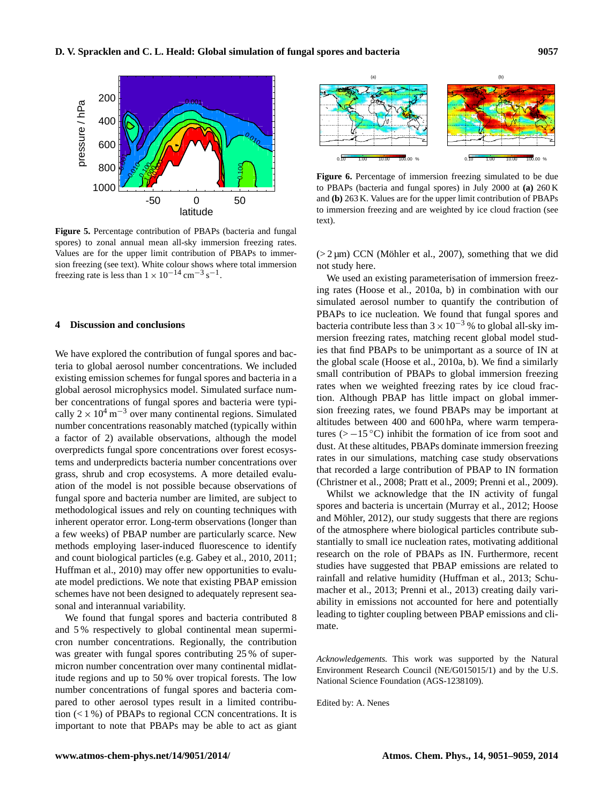

**Figure 5.** Percentage contribution of PBAPs (bacteria and fungal spores) to zonal annual mean all-sky immersion freezing rates. Values are for the upper limit contribution of PBAPs to immersion freezing (see text). White colour shows where total immersion freezing rate is less than  $1 \times 10^{-14}$  cm<sup>-3</sup> s<sup>-1</sup>.

#### **4 Discussion and conclusions**

We have explored the contribution of fungal spores and bacteria to global aerosol number concentrations. We included existing emission schemes for fungal spores and bacteria in a global aerosol microphysics model. Simulated surface number concentrations of fungal spores and bacteria were typically  $2 \times 10^4$  m<sup>-3</sup> over many continental regions. Simulated number concentrations reasonably matched (typically within a factor of 2) available observations, although the model overpredicts fungal spore concentrations over forest ecosystems and underpredicts bacteria number concentrations over grass, shrub and crop ecosystems. A more detailed evaluation of the model is not possible because observations of fungal spore and bacteria number are limited, are subject to methodological issues and rely on counting techniques with inherent operator error. Long-term observations (longer than a few weeks) of PBAP number are particularly scarce. New methods employing laser-induced fluorescence to identify and count biological particles (e.g. Gabey et al., 2010, 2011; Huffman et al., 2010) may offer new opportunities to evaluate model predictions. We note that existing PBAP emission schemes have not been designed to adequately represent seasonal and interannual variability.

We found that fungal spores and bacteria contributed 8 and 5 % respectively to global continental mean supermicron number concentrations. Regionally, the contribution was greater with fungal spores contributing 25 % of supermicron number concentration over many continental midlatitude regions and up to 50 % over tropical forests. The low number concentrations of fungal spores and bacteria compared to other aerosol types result in a limited contribution  $(1\%)$  of PBAPs to regional CCN concentrations. It is important to note that PBAPs may be able to act as giant



**Figure 6.** Percentage of immersion freezing simulated to be due to PBAPs (bacteria and fungal spores) in July 2000 at **(a)** 260 K and **(b)** 263 K. Values are for the upper limit contribution of PBAPs to immersion freezing and are weighted by ice cloud fraction (see text).

 $(2 \mu m)$  CCN (Möhler et al., 2007), something that we did not study here.

We used an existing parameterisation of immersion freezing rates (Hoose et al., 2010a, b) in combination with our simulated aerosol number to quantify the contribution of PBAPs to ice nucleation. We found that fungal spores and bacteria contribute less than  $3 \times 10^{-3}$  % to global all-sky immersion freezing rates, matching recent global model studies that find PBAPs to be unimportant as a source of IN at the global scale (Hoose et al., 2010a, b). We find a similarly small contribution of PBAPs to global immersion freezing rates when we weighted freezing rates by ice cloud fraction. Although PBAP has little impact on global immersion freezing rates, we found PBAPs may be important at altitudes between 400 and 600 hPa, where warm temperatures (>  $-15$  °C) inhibit the formation of ice from soot and dust. At these altitudes, PBAPs dominate immersion freezing rates in our simulations, matching case study observations that recorded a large contribution of PBAP to IN formation (Christner et al., 2008; Pratt et al., 2009; Prenni et al., 2009).

Whilst we acknowledge that the IN activity of fungal spores and bacteria is uncertain (Murray et al., 2012; Hoose and Möhler, 2012), our study suggests that there are regions of the atmosphere where biological particles contribute substantially to small ice nucleation rates, motivating additional research on the role of PBAPs as IN. Furthermore, recent studies have suggested that PBAP emissions are related to rainfall and relative humidity (Huffman et al., 2013; Schumacher et al., 2013; Prenni et al., 2013) creating daily variability in emissions not accounted for here and potentially leading to tighter coupling between PBAP emissions and climate.

*Acknowledgements.* This work was supported by the Natural Environment Research Council (NE/G015015/1) and by the U.S. National Science Foundation (AGS-1238109).

Edited by: A. Nenes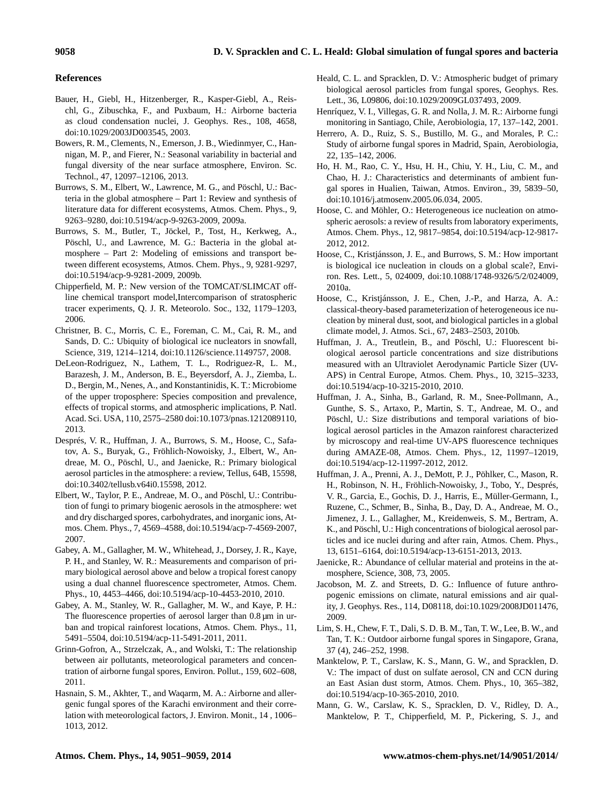## **References**

- Bauer, H., Giebl, H., Hitzenberger, R., Kasper-Giebl, A., Reischl, G., Zibuschka, F., and Puxbaum, H.: Airborne bacteria as cloud condensation nuclei, J. Geophys. Res., 108, 4658, doi[:10.1029/2003JD003545,](http://dx.doi.org/10.1029/2003JD003545) 2003.
- Bowers, R. M., Clements, N., Emerson, J. B., Wiedinmyer, C., Hannigan, M. P., and Fierer, N.: Seasonal variability in bacterial and fungal diversity of the near surface atmosphere, Environ. Sc. Technol., 47, 12097–12106, 2013.
- Burrows, S. M., Elbert, W., Lawrence, M. G., and Pöschl, U.: Bacteria in the global atmosphere – Part 1: Review and synthesis of literature data for different ecosystems, Atmos. Chem. Phys., 9, 9263–9280, doi[:10.5194/acp-9-9263-2009,](http://dx.doi.org/10.5194/acp-9-9263-2009) 2009a.
- Burrows, S. M., Butler, T., Jöckel, P., Tost, H., Kerkweg, A., Pöschl, U., and Lawrence, M. G.: Bacteria in the global atmosphere – Part 2: Modeling of emissions and transport between different ecosystems, Atmos. Chem. Phys., 9, 9281-9297, doi[:10.5194/acp-9-9281-2009,](http://dx.doi.org/10.5194/acp-9-9281-2009) 2009b.
- Chipperfield, M. P.: New version of the TOMCAT/SLIMCAT offline chemical transport model,Intercomparison of stratospheric tracer experiments, Q. J. R. Meteorolo. Soc., 132, 1179–1203, 2006.
- Christner, B. C., Morris, C. E., Foreman, C. M., Cai, R. M., and Sands, D. C.: Ubiquity of biological ice nucleators in snowfall, Science, 319, 1214–1214, doi[:10.1126/science.1149757,](http://dx.doi.org/10.1126/science.1149757) 2008.
- DeLeon-Rodriguez, N., Lathem, T. L., Rodriguez-R, L. M., Barazesh, J. M., Anderson, B. E., Beyersdorf, A. J., Ziemba, L. D., Bergin, M., Nenes, A., and Konstantinidis, K. T.: Microbiome of the upper troposphere: Species composition and prevalence, effects of tropical storms, and atmospheric implications, P. Natl. Acad. Sci. USA, 110, 2575–2580 doi[:10.1073/pnas.1212089110,](http://dx.doi.org/10.1073/pnas.1212089110) 2013.
- Després, V. R., Huffman, J. A., Burrows, S. M., Hoose, C., Safatov, A. S., Buryak, G., Fröhlich-Nowoisky, J., Elbert, W., Andreae, M. O., Pöschl, U., and Jaenicke, R.: Primary biological aerosol particles in the atmosphere: a review, Tellus, 64B, 15598, doi[:10.3402/tellusb.v64i0.15598,](http://dx.doi.org/10.3402/tellusb.v64i0.15598) 2012.
- Elbert, W., Taylor, P. E., Andreae, M. O., and Pöschl, U.: Contribution of fungi to primary biogenic aerosols in the atmosphere: wet and dry discharged spores, carbohydrates, and inorganic ions, Atmos. Chem. Phys., 7, 4569–4588, doi[:10.5194/acp-7-4569-2007,](http://dx.doi.org/10.5194/acp-7-4569-2007) 2007.
- Gabey, A. M., Gallagher, M. W., Whitehead, J., Dorsey, J. R., Kaye, P. H., and Stanley, W. R.: Measurements and comparison of primary biological aerosol above and below a tropical forest canopy using a dual channel fluorescence spectrometer, Atmos. Chem. Phys., 10, 4453–4466, doi[:10.5194/acp-10-4453-2010,](http://dx.doi.org/10.5194/acp-10-4453-2010) 2010.
- Gabey, A. M., Stanley, W. R., Gallagher, M. W., and Kaye, P. H.: The fluorescence properties of aerosol larger than 0.8  $\mu$ m in urban and tropical rainforest locations, Atmos. Chem. Phys., 11, 5491–5504, doi[:10.5194/acp-11-5491-2011,](http://dx.doi.org/10.5194/acp-11-5491-2011) 2011.
- Grinn-Gofron, A., Strzelczak, A., and Wolski, T.: The relationship between air pollutants, meteorological parameters and concentration of airborne fungal spores, Environ. Pollut., 159, 602–608, 2011.
- Hasnain, S. M., Akhter, T., and Waqarm, M. A.: Airborne and allergenic fungal spores of the Karachi environment and their correlation with meteorological factors, J. Environ. Monit., 14 , 1006– 1013, 2012.
- Heald, C. L. and Spracklen, D. V.: Atmospheric budget of primary biological aerosol particles from fungal spores, Geophys. Res. Lett., 36, L09806, doi[:10.1029/2009GL037493,](http://dx.doi.org/10.1029/2009GL037493) 2009.
- Henríquez, V. I., Villegas, G. R. and Nolla, J. M. R.: Airborne fungi monitoring in Santiago, Chile, Aerobiologia, 17, 137–142, 2001.
- Herrero, A. D., Ruiz, S. S., Bustillo, M. G., and Morales, P. C.: Study of airborne fungal spores in Madrid, Spain, Aerobiologia, 22, 135–142, 2006.
- Ho, H. M., Rao, C. Y., Hsu, H. H., Chiu, Y. H., Liu, C. M., and Chao, H. J.: Characteristics and determinants of ambient fungal spores in Hualien, Taiwan, Atmos. Environ., 39, 5839–50, doi[:10.1016/j.atmosenv.2005.06.034,](http://dx.doi.org/10.1016/j.atmosenv.2005.06.034) 2005.
- Hoose, C. and Möhler, O.: Heterogeneous ice nucleation on atmospheric aerosols: a review of results from laboratory experiments, Atmos. Chem. Phys., 12, 9817–9854, doi[:10.5194/acp-12-9817-](http://dx.doi.org/10.5194/acp-12-9817-2012) [2012,](http://dx.doi.org/10.5194/acp-12-9817-2012) 2012.
- Hoose, C., Kristjánsson, J. E., and Burrows, S. M.: How important is biological ice nucleation in clouds on a global scale?, Environ. Res. Lett., 5, 024009, doi[:10.1088/1748-9326/5/2/024009,](http://dx.doi.org/10.1088/1748-9326/5/2/024009) 2010a.
- Hoose, C., Kristjánsson, J. E., Chen, J.-P., and Harza, A. A.: classical-theory-based parameterization of heterogeneous ice nucleation by mineral dust, soot, and biological particles in a global climate model, J. Atmos. Sci., 67, 2483–2503, 2010b.
- Huffman, J. A., Treutlein, B., and Pöschl, U.: Fluorescent biological aerosol particle concentrations and size distributions measured with an Ultraviolet Aerodynamic Particle Sizer (UV-APS) in Central Europe, Atmos. Chem. Phys., 10, 3215–3233, doi[:10.5194/acp-10-3215-2010,](http://dx.doi.org/10.5194/acp-10-3215-2010) 2010.
- Huffman, J. A., Sinha, B., Garland, R. M., Snee-Pollmann, A., Gunthe, S. S., Artaxo, P., Martin, S. T., Andreae, M. O., and Pöschl, U.: Size distributions and temporal variations of biological aerosol particles in the Amazon rainforest characterized by microscopy and real-time UV-APS fluorescence techniques during AMAZE-08, Atmos. Chem. Phys., 12, 11997–12019, doi[:10.5194/acp-12-11997-2012,](http://dx.doi.org/10.5194/acp-12-11997-2012) 2012.
- Huffman, J. A., Prenni, A. J., DeMott, P. J., Pöhlker, C., Mason, R. H., Robinson, N. H., Fröhlich-Nowoisky, J., Tobo, Y., Després, V. R., Garcia, E., Gochis, D. J., Harris, E., Müller-Germann, I., Ruzene, C., Schmer, B., Sinha, B., Day, D. A., Andreae, M. O., Jimenez, J. L., Gallagher, M., Kreidenweis, S. M., Bertram, A. K., and Pöschl, U.: High concentrations of biological aerosol particles and ice nuclei during and after rain, Atmos. Chem. Phys., 13, 6151–6164, doi[:10.5194/acp-13-6151-2013,](http://dx.doi.org/10.5194/acp-13-6151-2013) 2013.
- Jaenicke, R.: Abundance of cellular material and proteins in the atmosphere, Science, 308, 73, 2005.
- Jacobson, M. Z. and Streets, D. G.: Influence of future anthropogenic emissions on climate, natural emissions and air quality, J. Geophys. Res., 114, D08118, doi[:10.1029/2008JD011476,](http://dx.doi.org/10.1029/2008JD011476) 2009.
- Lim, S. H., Chew, F. T., Dali, S. D. B. M., Tan, T. W., Lee, B. W., and Tan, T. K.: Outdoor airborne fungal spores in Singapore, Grana, 37 (4), 246–252, 1998.
- Manktelow, P. T., Carslaw, K. S., Mann, G. W., and Spracklen, D. V.: The impact of dust on sulfate aerosol, CN and CCN during an East Asian dust storm, Atmos. Chem. Phys., 10, 365–382, doi[:10.5194/acp-10-365-2010,](http://dx.doi.org/10.5194/acp-10-365-2010) 2010.
- Mann, G. W., Carslaw, K. S., Spracklen, D. V., Ridley, D. A., Manktelow, P. T., Chipperfield, M. P., Pickering, S. J., and